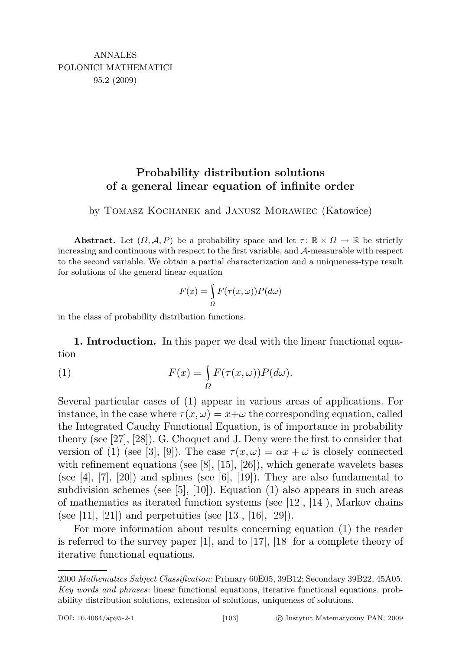## Probability distribution solutions of a general linear equation of infinite order

## by Tomasz Kochanek and Janusz Morawiec (Katowice)

**Abstract.** Let  $(\Omega, \mathcal{A}, P)$  be a probability space and let  $\tau : \mathbb{R} \times \Omega \to \mathbb{R}$  be strictly increasing and continuous with respect to the first variable, and A-measurable with respect to the second variable. We obtain a partial characterization and a uniqueness-type result for solutions of the general linear equation

$$
F(x) = \int_{\Omega} F(\tau(x,\omega)) P(d\omega)
$$

in the class of probability distribution functions.

1. Introduction. In this paper we deal with the linear functional equation

(1) 
$$
F(x) = \int_{\Omega} F(\tau(x,\omega)) P(d\omega).
$$

Several particular cases of (1) appear in various areas of applications. For instance, in the case where  $\tau(x,\omega) = x+\omega$  the corresponding equation, called the Integrated Cauchy Functional Equation, is of importance in probability theory (see [27], [28]). G. Choquet and J. Deny were the first to consider that version of (1) (see [3], [9]). The case  $\tau(x,\omega) = \alpha x + \omega$  is closely connected with refinement equations (see  $[8]$ ,  $[15]$ ,  $[26]$ ), which generate wavelets bases (see  $[4]$ ,  $[7]$ ,  $[20]$ ) and splines (see  $[6]$ ,  $[19]$ ). They are also fundamental to subdivision schemes (see [5], [10]). Equation (1) also appears in such areas of mathematics as iterated function systems (see [12], [14]), Markov chains (see [11], [21]) and perpetuities (see [13], [16], [29]).

For more information about results concerning equation (1) the reader is referred to the survey paper [1], and to [17], [18] for a complete theory of iterative functional equations.

<sup>2000</sup> Mathematics Subject Classification: Primary 60E05, 39B12; Secondary 39B22, 45A05. Key words and phrases: linear functional equations, iterative functional equations, probability distribution solutions, extension of solutions, uniqueness of solutions.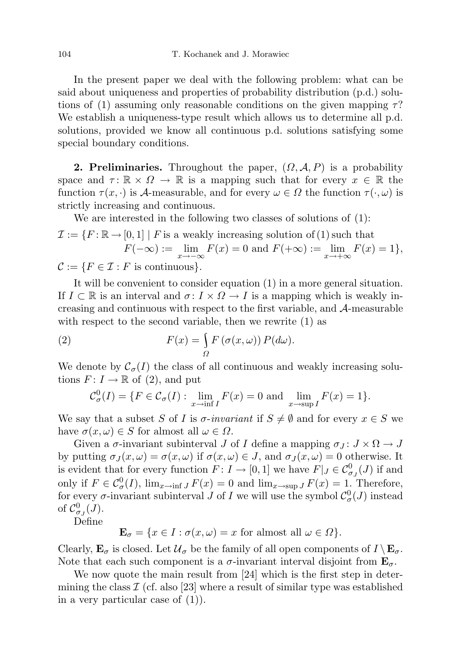In the present paper we deal with the following problem: what can be said about uniqueness and properties of probability distribution (p.d.) solutions of (1) assuming only reasonable conditions on the given mapping  $\tau$ ? We establish a uniqueness-type result which allows us to determine all p.d. solutions, provided we know all continuous p.d. solutions satisfying some special boundary conditions.

**2. Preliminaries.** Throughout the paper,  $(\Omega, \mathcal{A}, P)$  is a probability space and  $\tau: \mathbb{R} \times \Omega \to \mathbb{R}$  is a mapping such that for every  $x \in \mathbb{R}$  the function  $\tau(x, \cdot)$  is A-measurable, and for every  $\omega \in \Omega$  the function  $\tau(\cdot, \omega)$  is strictly increasing and continuous.

We are interested in the following two classes of solutions of (1):

$$
\mathcal{I} := \{ F : \mathbb{R} \to [0,1] \mid F \text{ is a weakly increasing solution of (1) such that}
$$

$$
F(-\infty) := \lim_{x \to -\infty} F(x) = 0 \text{ and } F(+\infty) := \lim_{x \to +\infty} F(x) = 1 \},
$$

$$
\mathcal{C} := \{ F \in \mathcal{T} : F \text{ is continuous} \}
$$

 $C := \{F \in \mathcal{I} : F \text{ is continuous}\}.$ 

It will be convenient to consider equation (1) in a more general situation. If  $I \subset \mathbb{R}$  is an interval and  $\sigma: I \times \Omega \to I$  is a mapping which is weakly increasing and continuous with respect to the first variable, and A-measurable with respect to the second variable, then we rewrite (1) as

(2) 
$$
F(x) = \int_{\Omega} F(\sigma(x,\omega)) P(d\omega).
$$

We denote by  $\mathcal{C}_{\sigma}(I)$  the class of all continuous and weakly increasing solutions  $F: I \to \mathbb{R}$  of (2), and put

$$
\mathcal{C}^0_\sigma(I) = \{ F \in \mathcal{C}_\sigma(I) : \lim_{x \to \inf I} F(x) = 0 \text{ and } \lim_{x \to \sup I} F(x) = 1 \}.
$$

We say that a subset S of I is  $\sigma$ -invariant if  $S \neq \emptyset$  and for every  $x \in S$  we have  $\sigma(x,\omega) \in S$  for almost all  $\omega \in \Omega$ .

Given a  $\sigma$ -invariant subinterval J of I define a mapping  $\sigma_J : J \times \Omega \to J$ by putting  $\sigma_J(x,\omega) = \sigma(x,\omega)$  if  $\sigma(x,\omega) \in J$ , and  $\sigma_J(x,\omega) = 0$  otherwise. It is evident that for every function  $F: I \to [0,1]$  we have  $F|_J \in C^0_{\sigma_J}(J)$  if and only if  $F \in C^0_\sigma(I)$ ,  $\lim_{x \to \inf J} F(x) = 0$  and  $\lim_{x \to \sup J} F(x) = 1$ . Therefore, for every  $\sigma$ -invariant subinterval  $J$  of  $I$  we will use the symbol  $\mathcal{C}^0_{\sigma}(J)$  instead of  $\mathcal{C}_{\sigma_J}^0(J)$ .

Define

$$
\mathbf{E}_{\sigma} = \{ x \in I : \sigma(x, \omega) = x \text{ for almost all } \omega \in \Omega \}.
$$

Clearly,  $\mathbf{E}_{\sigma}$  is closed. Let  $\mathcal{U}_{\sigma}$  be the family of all open components of  $I \setminus \mathbf{E}_{\sigma}$ . Note that each such component is a  $\sigma$ -invariant interval disjoint from  $\mathbf{E}_{\sigma}$ .

We now quote the main result from [24] which is the first step in determining the class  $\mathcal I$  (cf. also [23] where a result of similar type was established in a very particular case of  $(1)$ ).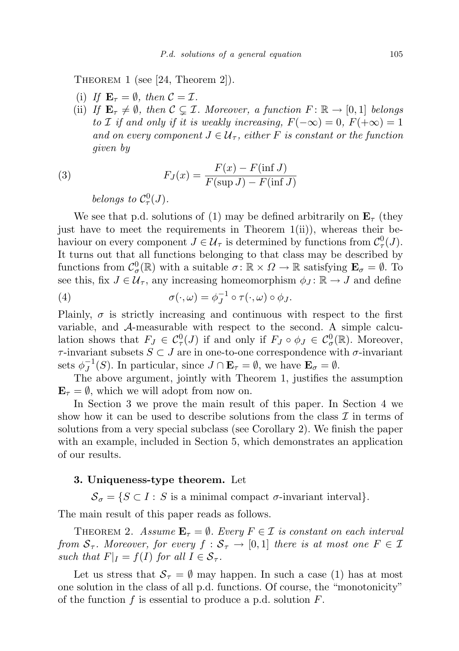Theorem 1 (see [24, Theorem 2]).

- (i) If  $\mathbf{E}_{\tau} = \emptyset$ , then  $\mathcal{C} = \mathcal{I}$ .
- (ii) If  $\mathbf{E}_{\tau} \neq \emptyset$ , then  $\mathcal{C} \subsetneq \mathcal{I}$ . Moreover, a function  $F : \mathbb{R} \to [0, 1]$  belongs to *I* if and only if it is weakly increasing,  $F(-\infty) = 0$ ,  $F(+\infty) = 1$ and on every component  $J \in \mathcal{U}_{\tau}$ , either F is constant or the function given by

(3) 
$$
F_J(x) = \frac{F(x) - F(\inf J)}{F(\sup J) - F(\inf J)}
$$

belongs to  $\mathcal{C}^0_\tau(J)$ .

We see that p.d. solutions of (1) may be defined arbitrarily on  $\mathbf{E}_{\tau}$  (they just have to meet the requirements in Theorem 1(ii)), whereas their behaviour on every component  $J \in \mathcal{U}_{\tau}$  is determined by functions from  $\mathcal{C}^0_{\tau}(J)$ . It turns out that all functions belonging to that class may be described by functions from  $\mathcal{C}^0_\sigma(\mathbb{R})$  with a suitable  $\sigma \colon \mathbb{R} \times \Omega \to \mathbb{R}$  satisfying  $\mathbf{E}_\sigma = \emptyset$ . To see this, fix  $J \in \mathcal{U}_{\tau}$ , any increasing homeomorphism  $\phi_J : \mathbb{R} \to J$  and define

(4) 
$$
\sigma(\cdot,\omega) = \phi_J^{-1} \circ \tau(\cdot,\omega) \circ \phi_J.
$$

Plainly,  $\sigma$  is strictly increasing and continuous with respect to the first variable, and A-measurable with respect to the second. A simple calculation shows that  $F_J \in C^0_\tau(J)$  if and only if  $F_J \circ \phi_J \in C^0_\sigma(\mathbb{R})$ . Moreover,  $\tau$ -invariant subsets  $S \subset J$  are in one-to-one correspondence with  $\sigma$ -invariant sets  $\phi_I^{-1}$  $J_J^{-1}(S)$ . In particular, since  $J \cap \mathbf{E}_{\tau} = \emptyset$ , we have  $\mathbf{E}_{\sigma} = \emptyset$ .

The above argument, jointly with Theorem 1, justifies the assumption  $\mathbf{E}_{\tau} = \emptyset$ , which we will adopt from now on.

In Section 3 we prove the main result of this paper. In Section 4 we show how it can be used to describe solutions from the class  $\mathcal I$  in terms of solutions from a very special subclass (see Corollary 2). We finish the paper with an example, included in Section 5, which demonstrates an application of our results.

## 3. Uniqueness-type theorem. Let

 $S_{\sigma} = \{ S \subset I : S \text{ is a minimal compact } \sigma\text{-invariant interval} \}.$ 

The main result of this paper reads as follows.

THEOREM 2. Assume  $\mathbf{E}_{\tau} = \emptyset$ . Every  $F \in \mathcal{I}$  is constant on each interval from  $S_{\tau}$ . Moreover, for every  $f : S_{\tau} \to [0,1]$  there is at most one  $F \in \mathcal{I}$ such that  $F|_I = f(I)$  for all  $I \in S_{\tau}$ .

Let us stress that  $S_{\tau} = \emptyset$  may happen. In such a case (1) has at most one solution in the class of all p.d. functions. Of course, the "monotonicity" of the function  $f$  is essential to produce a p.d. solution  $F$ .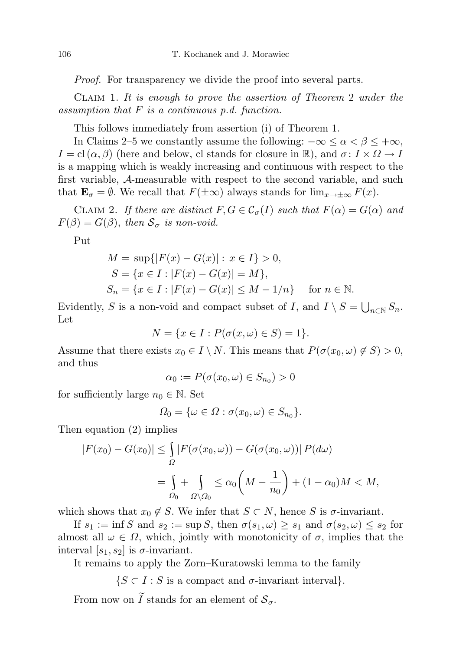Proof. For transparency we divide the proof into several parts.

Claim 1. It is enough to prove the assertion of Theorem 2 under the assumption that  $F$  is a continuous p.d. function.

This follows immediately from assertion (i) of Theorem 1.

In Claims 2–5 we constantly assume the following:  $-\infty \le \alpha < \beta \le +\infty$ ,  $I = \text{cl}(\alpha, \beta)$  (here and below, cl stands for closure in  $\mathbb{R}$ ), and  $\sigma: I \times \Omega \to I$ is a mapping which is weakly increasing and continuous with respect to the first variable, A-measurable with respect to the second variable, and such that  $\mathbf{E}_{\sigma} = \emptyset$ . We recall that  $F(\pm \infty)$  always stands for  $\lim_{x \to \pm \infty} F(x)$ .

CLAIM 2. If there are distinct  $F, G \in C_{\sigma}(I)$  such that  $F(\alpha) = G(\alpha)$  and  $F(\beta) = G(\beta)$ , then  $S_{\sigma}$  is non-void.

Put

$$
M = \sup\{|F(x) - G(x)| : x \in I\} > 0,
$$
  
\n
$$
S = \{x \in I : |F(x) - G(x)| = M\},
$$
  
\n
$$
S_n = \{x \in I : |F(x) - G(x)| \le M - 1/n\} \quad \text{for } n \in \mathbb{N}.
$$

Evidently, S is a non-void and compact subset of I, and  $I \setminus S = \bigcup_{n \in \mathbb{N}} S_n$ . Let

$$
N = \{x \in I : P(\sigma(x, \omega) \in S) = 1\}.
$$

Assume that there exists  $x_0 \in I \setminus N$ . This means that  $P(\sigma(x_0, \omega) \notin S) > 0$ , and thus

$$
\alpha_0 := P(\sigma(x_0, \omega) \in S_{n_0}) > 0
$$

for sufficiently large  $n_0 \in \mathbb{N}$ . Set

$$
\Omega_0 = \{ \omega \in \Omega : \sigma(x_0, \omega) \in S_{n_0} \}.
$$

Then equation (2) implies

$$
|F(x_0) - G(x_0)| \le \int_{\Omega} |F(\sigma(x_0, \omega)) - G(\sigma(x_0, \omega))| P(d\omega)
$$
  
= 
$$
\int_{\Omega_0} + \int_{\Omega \setminus \Omega_0} \le \alpha_0 \left(M - \frac{1}{n_0}\right) + (1 - \alpha_0)M < M,
$$

which shows that  $x_0 \notin S$ . We infer that  $S \subset N$ , hence S is  $\sigma$ -invariant.

If  $s_1 := \inf S$  and  $s_2 := \sup S$ , then  $\sigma(s_1, \omega) \geq s_1$  and  $\sigma(s_2, \omega) \leq s_2$  for almost all  $\omega \in \Omega$ , which, jointly with monotonicity of  $\sigma$ , implies that the interval  $[s_1, s_2]$  is  $\sigma$ -invariant.

It remains to apply the Zorn–Kuratowski lemma to the family

$$
\{S \subset I : S \text{ is a compact and } \sigma\text{-invariant interval}\}.
$$

From now on  $\widetilde{I}$  stands for an element of  $\mathcal{S}_{\sigma}$ .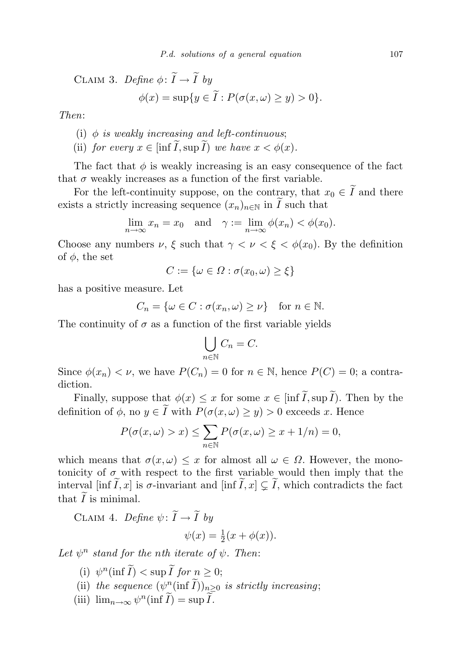CLAIM 3. *Define* 
$$
\phi
$$
:  $\widetilde{I} \to \widetilde{I}$  by  

$$
\phi(x) = \sup\{y \in \widetilde{I} : P(\sigma(x, \omega) \ge y) > 0\}.
$$

Then:

- (i)  $\phi$  is weakly increasing and left-continuous;
- (ii) for every  $x \in \left[\inf \widetilde{I}, \sup \widetilde{I}\right]$  we have  $x < \phi(x)$ .

The fact that  $\phi$  is weakly increasing is an easy consequence of the fact that  $\sigma$  weakly increases as a function of the first variable.

For the left-continuity suppose, on the contrary, that  $x_0 \in \tilde{I}$  and there exists a strictly increasing sequence  $(x_n)_{n\in\mathbb{N}}$  in  $\widetilde{I}$  such that

$$
\lim_{n \to \infty} x_n = x_0 \quad \text{and} \quad \gamma := \lim_{n \to \infty} \phi(x_n) < \phi(x_0).
$$

Choose any numbers  $\nu$ ,  $\xi$  such that  $\gamma < \nu < \xi < \phi(x_0)$ . By the definition of  $\phi$ , the set

$$
C := \{ \omega \in \Omega : \sigma(x_0, \omega) \ge \xi \}
$$

has a positive measure. Let

$$
C_n = \{ \omega \in C : \sigma(x_n, \omega) \ge \nu \} \text{ for } n \in \mathbb{N}.
$$

The continuity of  $\sigma$  as a function of the first variable yields

$$
\bigcup_{n\in\mathbb{N}}C_n=C.
$$

Since  $\phi(x_n) < \nu$ , we have  $P(C_n) = 0$  for  $n \in \mathbb{N}$ , hence  $P(C) = 0$ ; a contradiction.

Finally, suppose that  $\phi(x) \leq x$  for some  $x \in \left[ \inf \widetilde{I}, \sup \widetilde{I} \right]$ . Then by the definition of  $\phi$ , no  $y \in \tilde{I}$  with  $P(\sigma(x, \omega) \geq y) > 0$  exceeds x. Hence

$$
P(\sigma(x,\omega) > x) \le \sum_{n \in \mathbb{N}} P(\sigma(x,\omega) \ge x + 1/n) = 0,
$$

which means that  $\sigma(x,\omega) \leq x$  for almost all  $\omega \in \Omega$ . However, the monotonicity of  $\sigma$  with respect to the first variable would then imply that the interval [inf  $\tilde{I}, x$ ] is  $\sigma$ -invariant and [inf  $\tilde{I}, x$ ]  $\subsetneq \tilde{I}$ , which contradicts the fact that  $\overline{I}$  is minimal.

CLAIM 4. Define  $\psi: \widetilde{I} \to \widetilde{I}$  by

$$
\psi(x) = \frac{1}{2}(x + \phi(x)).
$$

Let  $\psi^n$  stand for the nth iterate of  $\psi$ . Then:

- (i)  $\psi^n(\inf \widetilde{I}) < \sup \widetilde{I}$  for  $n \geq 0$ ;
- (ii) the sequence  $(\psi^n_{\alpha}(\inf \tilde{I}))_{n\geq 0}$  is strictly increasing;
- (iii)  $\lim_{n\to\infty}\psi^n(\inf \widetilde{I})=\sup \widetilde{I}.$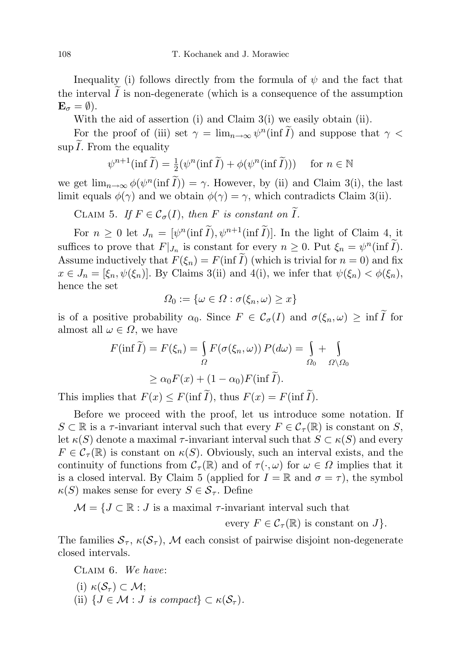Inequality (i) follows directly from the formula of  $\psi$  and the fact that the interval  $\tilde{I}$  is non-degenerate (which is a consequence of the assumption  $\mathbf{E}_{\sigma} = \emptyset$ ).

With the aid of assertion (i) and Claim 3(i) we easily obtain (ii).

For the proof of (iii) set  $\gamma = \lim_{n \to \infty} \psi^n(\inf \tilde{I})$  and suppose that  $\gamma <$  $\sup I$ . From the equality

$$
\psi^{n+1}(\inf \widetilde{I}) = \frac{1}{2}(\psi^n(\inf \widetilde{I}) + \phi(\psi^n(\inf \widetilde{I}))) \quad \text{ for } n \in \mathbb{N}
$$

we get  $\lim_{n\to\infty}\phi(\psi^n(\inf \tilde{I})) = \gamma$ . However, by (ii) and Claim 3(i), the last limit equals  $\phi(\gamma)$  and we obtain  $\phi(\gamma) = \gamma$ , which contradicts Claim 3(ii).

CLAIM 5. If  $F \in \mathcal{C}_{\sigma}(I)$ , then F is constant on  $\widetilde{I}$ .

For  $n \geq 0$  let  $J_n = [\psi^n(\inf \tilde{I}), \psi^{n+1}(\inf \tilde{I})]$ . In the light of Claim 4, it suffices to prove that  $F|_{J_n}$  is constant for every  $n \geq 0$ . Put  $\xi_n = \psi^n(\inf \tilde{I})$ . Assume inductively that  $F(\xi_n) = F(\inf \tilde{I})$  (which is trivial for  $n = 0$ ) and fix  $x \in J_n = [\xi_n, \psi(\xi_n)]$ . By Claims 3(ii) and 4(i), we infer that  $\psi(\xi_n) < \phi(\xi_n)$ , hence the set

$$
\Omega_0 := \{ \omega \in \Omega : \sigma(\xi_n, \omega) \ge x \}
$$

is of a positive probability  $\alpha_0$ . Since  $F \in \mathcal{C}_{\sigma}(I)$  and  $\sigma(\xi_n, \omega) \ge \inf \widetilde{I}$  for almost all  $\omega \in \Omega$ , we have

$$
F(\inf \widetilde{I}) = F(\xi_n) = \int_{\Omega} F(\sigma(\xi_n, \omega)) P(d\omega) = \int_{\Omega_0} + \int_{\Omega \setminus \Omega_0} \omega \ge \alpha_0 F(x) + (1 - \alpha_0) F(\inf \widetilde{I}).
$$

This implies that  $F(x) \leq F(\inf \tilde{I})$ , thus  $F(x) = F(\inf \tilde{I})$ .

Before we proceed with the proof, let us introduce some notation. If  $S \subset \mathbb{R}$  is a  $\tau$ -invariant interval such that every  $F \in C_{\tau}(\mathbb{R})$  is constant on S, let  $\kappa(S)$  denote a maximal  $\tau$ -invariant interval such that  $S \subset \kappa(S)$  and every  $F \in \mathcal{C}_{\tau}(\mathbb{R})$  is constant on  $\kappa(S)$ . Obviously, such an interval exists, and the continuity of functions from  $\mathcal{C}_{\tau}(\mathbb{R})$  and of  $\tau(\cdot,\omega)$  for  $\omega \in \Omega$  implies that it is a closed interval. By Claim 5 (applied for  $I = \mathbb{R}$  and  $\sigma = \tau$ ), the symbol  $\kappa(S)$  makes sense for every  $S \in \mathcal{S}_{\tau}$ . Define

 $\mathcal{M} = \{J \subset \mathbb{R} : J$  is a maximal  $\tau$ -invariant interval such that

every  $F \in \mathcal{C}_{\tau}(\mathbb{R})$  is constant on  $J$ .

The families  $S_{\tau}$ ,  $\kappa(S_{\tau})$ , M each consist of pairwise disjoint non-degenerate closed intervals.

CLAIM 6. We have:

(i)  $\kappa(\mathcal{S}_{\tau}) \subset \mathcal{M}$ ; (ii)  $\{J \in \mathcal{M} : J \text{ is compact}\}\subset \kappa(\mathcal{S}_{\tau}).$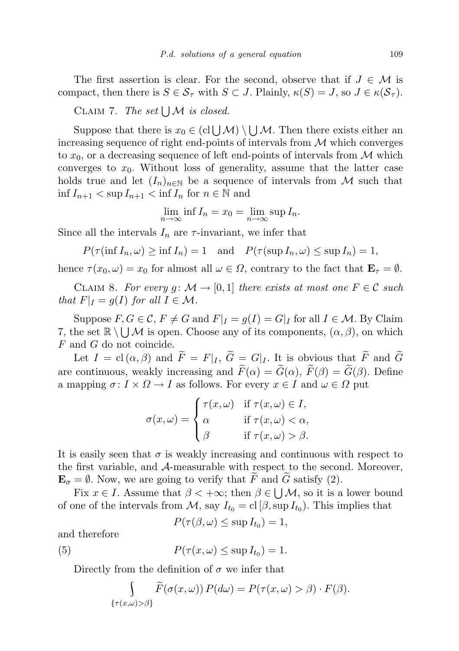The first assertion is clear. For the second, observe that if  $J \in \mathcal{M}$  is compact, then there is  $S \in \mathcal{S}_{\tau}$  with  $S \subset J$ . Plainly,  $\kappa(S) = J$ , so  $J \in \kappa(\mathcal{S}_{\tau})$ .

CLAIM 7. The set  $\bigcup \mathcal{M}$  is closed.

Suppose that there is  $x_0 \in (cl \cup \mathcal{M}) \setminus \bigcup \mathcal{M}$ . Then there exists either an increasing sequence of right end-points of intervals from  $\mathcal M$  which converges to  $x_0$ , or a decreasing sequence of left end-points of intervals from  $\mathcal M$  which converges to  $x_0$ . Without loss of generality, assume that the latter case holds true and let  $(I_n)_{n\in\mathbb{N}}$  be a sequence of intervals from M such that  $\inf I_{n+1} < \sup I_{n+1} < \inf I_n$  for  $n \in \mathbb{N}$  and

$$
\lim_{n \to \infty} \inf I_n = x_0 = \lim_{n \to \infty} \sup I_n.
$$

Since all the intervals  $I_n$  are  $\tau$ -invariant, we infer that

 $P(\tau(\inf I_n, \omega) \ge \inf I_n) = 1$  and  $P(\tau(\sup I_n, \omega) \le \sup I_n) = 1$ ,

hence  $\tau(x_0, \omega) = x_0$  for almost all  $\omega \in \Omega$ , contrary to the fact that  $\mathbf{E}_{\tau} = \emptyset$ .

CLAIM 8. For every g:  $\mathcal{M} \to [0,1]$  there exists at most one  $F \in \mathcal{C}$  such that  $F|_I = g(I)$  for all  $I \in \mathcal{M}$ .

Suppose  $F, G \in \mathcal{C}, F \neq G$  and  $F|_I = g(I) = G|_I$  for all  $I \in \mathcal{M}$ . By Claim 7, the set  $\mathbb{R} \setminus \bigcup \mathcal{M}$  is open. Choose any of its components,  $(\alpha, \beta)$ , on which  $F$  and  $G$  do not coincide.

Let  $I = \text{cl}(\alpha, \beta)$  and  $\widetilde{F} = F|_I, \widetilde{G} = G|_I$ . It is obvious that  $\widetilde{F}$  and  $\widetilde{G}$ are continuous, weakly increasing and  $\widetilde{F}(\alpha) = \widetilde{G}(\alpha)$ ,  $\widetilde{F}(\beta) = \widetilde{G}(\beta)$ . Define a mapping  $\sigma: I \times \Omega \to I$  as follows. For every  $x \in I$  and  $\omega \in \Omega$  put

$$
\sigma(x,\omega) = \begin{cases} \tau(x,\omega) & \text{if } \tau(x,\omega) \in I, \\ \alpha & \text{if } \tau(x,\omega) < \alpha, \\ \beta & \text{if } \tau(x,\omega) > \beta. \end{cases}
$$

It is easily seen that  $\sigma$  is weakly increasing and continuous with respect to the first variable, and A-measurable with respect to the second. Moreover,  $\mathbf{E}_{\sigma} = \emptyset$ . Now, we are going to verify that  $\widetilde{F}$  and  $\widetilde{G}$  satisfy (2).

Fix  $x \in I$ . Assume that  $\beta < +\infty$ ; then  $\beta \in \bigcup M$ , so it is a lower bound of one of the intervals from  $\mathcal{M}$ , say  $I_{t_0} = \text{cl} [\beta, \sup I_{t_0})$ . This implies that

$$
P(\tau(\beta,\omega)\leq \sup I_{t_0})=1,
$$

and therefore

(5) 
$$
P(\tau(x,\omega) \leq \sup I_{t_0}) = 1.
$$

Directly from the definition of  $\sigma$  we infer that

$$
\int_{\{\tau(x,\omega)>\beta\}} \widetilde{F}(\sigma(x,\omega)) P(d\omega) = P(\tau(x,\omega) > \beta) \cdot F(\beta).
$$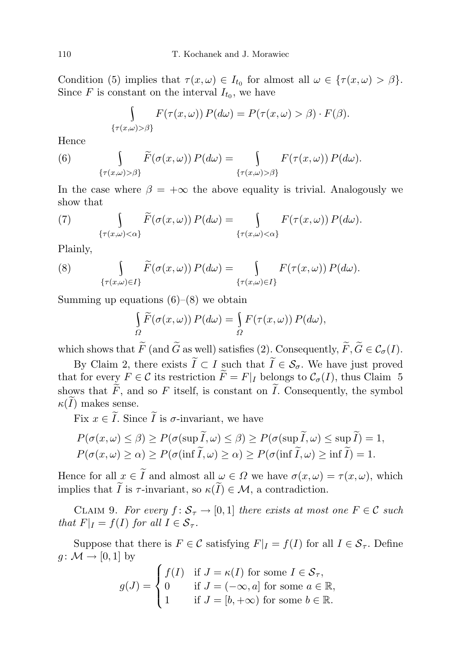Condition (5) implies that  $\tau(x,\omega) \in I_{t_0}$  for almost all  $\omega \in {\tau(x,\omega) > \beta}.$ Since F is constant on the interval  $I_{t_0}$ , we have

$$
\int_{\{\tau(x,\omega)>\beta\}} F(\tau(x,\omega)) P(d\omega) = P(\tau(x,\omega) > \beta) \cdot F(\beta).
$$

Hence

(6) 
$$
\int_{\{\tau(x,\omega)>\beta\}} \widetilde{F}(\sigma(x,\omega)) P(d\omega) = \int_{\{\tau(x,\omega)>\beta\}} F(\tau(x,\omega)) P(d\omega).
$$

In the case where  $\beta = +\infty$  the above equality is trivial. Analogously we show that

(7) 
$$
\int_{\{\tau(x,\omega)<\alpha\}} \widetilde{F}(\sigma(x,\omega)) P(d\omega) = \int_{\{\tau(x,\omega)<\alpha\}} F(\tau(x,\omega)) P(d\omega).
$$

Plainly,

(8) 
$$
\int_{\{\tau(x,\omega)\in I\}} \widetilde{F}(\sigma(x,\omega)) P(d\omega) = \int_{\{\tau(x,\omega)\in I\}} F(\tau(x,\omega)) P(d\omega).
$$

Summing up equations  $(6)$ – $(8)$  we obtain

$$
\int_{\Omega} \widetilde{F}(\sigma(x,\omega)) P(d\omega) = \int_{\Omega} F(\tau(x,\omega)) P(d\omega),
$$

which shows that  $\widetilde{F}$  (and  $\widetilde{G}$  as well) satisfies (2). Consequently,  $\widetilde{F}, \widetilde{G} \in \mathcal{C}_{\sigma}(I)$ .

By Claim 2, there exists  $\widetilde{I} \subset I$  such that  $\widetilde{I} \in \mathcal{S}_{\sigma}$ . We have just proved that for every  $F \in \mathcal{C}$  its restriction  $\widetilde{F} = F|_I$  belongs to  $\mathcal{C}_{\sigma}(I)$ , thus Claim 5 shows that  $\widetilde{F}$ , and so F itself, is constant on  $\widetilde{I}$ . Consequently, the symbol  $\kappa(I)$  makes sense.

Fix  $x \in \tilde{I}$ . Since  $\tilde{I}$  is  $\sigma$ -invariant, we have

$$
P(\sigma(x,\omega) \le \beta) \ge P(\sigma(\sup \widetilde{I}, \omega) \le \beta) \ge P(\sigma(\sup \widetilde{I}, \omega) \le \sup \widetilde{I}) = 1,
$$
  

$$
P(\sigma(x,\omega) \ge \alpha) \ge P(\sigma(\inf \widetilde{I}, \omega) \ge \alpha) \ge P(\sigma(\inf \widetilde{I}, \omega) \ge \inf \widetilde{I}) = 1.
$$

Hence for all  $x \in \tilde{I}$  and almost all  $\omega \in \Omega$  we have  $\sigma(x, \omega) = \tau(x, \omega)$ , which implies that  $\widetilde{I}$  is  $\tau$ -invariant, so  $\kappa(\widetilde{I}) \in \mathcal{M}$ , a contradiction.

CLAIM 9. For every  $f: \mathcal{S}_{\tau} \to [0,1]$  there exists at most one  $F \in \mathcal{C}$  such that  $F|_I = f(I)$  for all  $I \in S_{\tau}$ .

Suppose that there is  $F \in \mathcal{C}$  satisfying  $F|_I = f(I)$  for all  $I \in \mathcal{S}_{\tau}$ . Define  $g \colon \mathcal{M} \to [0,1]$  by

$$
g(J) = \begin{cases} f(I) & \text{if } J = \kappa(I) \text{ for some } I \in \mathcal{S}_{\tau}, \\ 0 & \text{if } J = (-\infty, a] \text{ for some } a \in \mathbb{R}, \\ 1 & \text{if } J = [b, +\infty) \text{ for some } b \in \mathbb{R}. \end{cases}
$$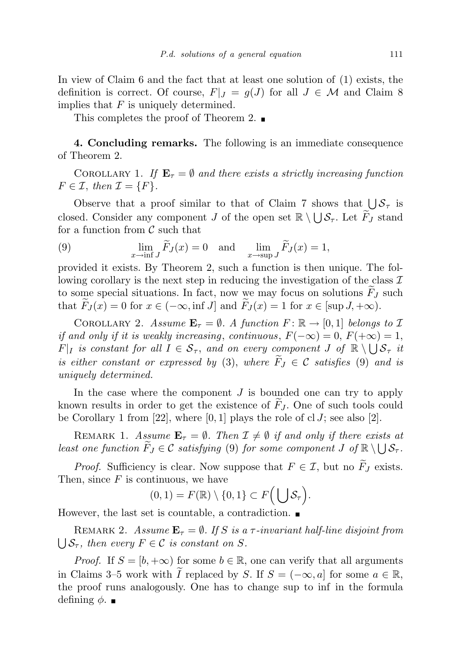In view of Claim 6 and the fact that at least one solution of (1) exists, the definition is correct. Of course,  $F|_J = g(J)$  for all  $J \in \mathcal{M}$  and Claim 8 implies that  $F$  is uniquely determined.

This completes the proof of Theorem 2.  $\blacksquare$ 

4. Concluding remarks. The following is an immediate consequence of Theorem 2.

COROLLARY 1. If  $\mathbf{E}_{\tau} = \emptyset$  and there exists a strictly increasing function  $F \in \mathcal{I}$ , then  $\mathcal{I} = \{F\}.$ 

Observe that a proof similar to that of Claim 7 shows that  $\bigcup \mathcal{S}_{\tau}$  is closed. Consider any component J of the open set  $\mathbb{R} \setminus \bigcup \mathcal{S}_{\tau}$ . Let  $\widetilde{F}_J$  stand for a function from  $\mathcal C$  such that

(9) 
$$
\lim_{x \to \inf J} \widetilde{F}_J(x) = 0 \text{ and } \lim_{x \to \sup J} \widetilde{F}_J(x) = 1,
$$

provided it exists. By Theorem 2, such a function is then unique. The following corollary is the next step in reducing the investigation of the class  $\mathcal I$ to some special situations. In fact, now we may focus on solutions  $F_J$  such that  $\tilde{F}_J(x) = 0$  for  $x \in (-\infty, \inf J]$  and  $\tilde{F}_J(x) = 1$  for  $x \in [\sup J, +\infty)$ .

COROLLARY 2. Assume  $\mathbf{E}_{\tau} = \emptyset$ . A function  $F: \mathbb{R} \to [0, 1]$  belongs to  $\mathcal{I}$ if and only if it is weakly increasing, continuous,  $F(-\infty) = 0$ ,  $F(+\infty) = 1$ ,  $F|_I$  is constant for all  $I \in S_{\tau}$ , and on every component  $J$  of  $\mathbb{R} \setminus \bigcup S_{\tau}$  it is either constant or expressed by (3), where  $\widetilde{F}_I \in \mathcal{C}$  satisfies (9) and is uniquely determined.

In the case where the component  $J$  is bounded one can try to apply known results in order to get the existence of  $F_J$ . One of such tools could be Corollary 1 from [22], where  $[0, 1]$  plays the role of cl J; see also [2].

REMARK 1. Assume  $\mathbf{E}_{\tau} = \emptyset$ . Then  $\mathcal{I} \neq \emptyset$  if and only if there exists at least one function  $\widetilde{F}_J \in \mathcal{C}$  satisfying (9) for some component  $J$  of  $\mathbb{R} \setminus \bigcup \mathcal{S}_{\tau}$ .

*Proof.* Sufficiency is clear. Now suppose that  $F \in \mathcal{I}$ , but no  $\widetilde{F}_J$  exists. Then, since  $F$  is continuous, we have

$$
(0,1) = F(\mathbb{R}) \setminus \{0,1\} \subset F\Big(\bigcup \mathcal{S}_{\tau}\Big).
$$

However, the last set is countable, a contradiction.

REMARK 2. Assume  $\mathbf{E}_{\tau} = \emptyset$ . If S is a  $\tau$ -invariant half-line disjoint from  $\bigcup \mathcal{S}_{\tau}$ , then every  $F \in \mathcal{C}$  is constant on S.

*Proof.* If  $S = [b, +\infty)$  for some  $b \in \mathbb{R}$ , one can verify that all arguments in Claims 3–5 work with I replaced by S. If  $S = (-\infty, a]$  for some  $a \in \mathbb{R}$ , the proof runs analogously. One has to change sup to inf in the formula defining  $\phi$ .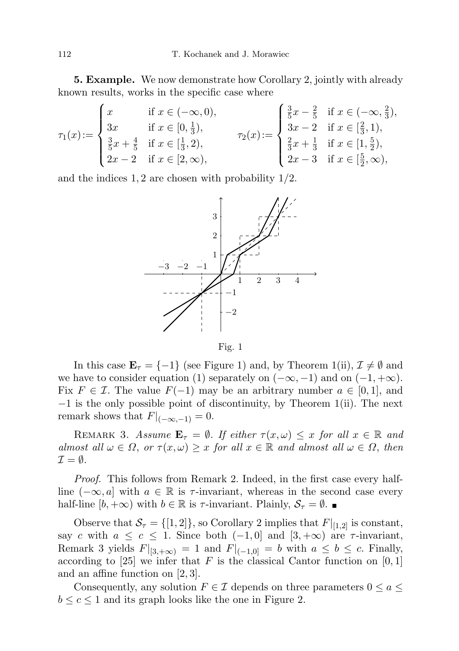5. Example. We now demonstrate how Corollary 2, jointly with already known results, works in the specific case where

$$
\tau_1(x) := \begin{cases}\n x & \text{if } x \in (-\infty, 0), \\
3x & \text{if } x \in [0, \frac{1}{3}), \\
\frac{3}{5}x + \frac{4}{5} & \text{if } x \in [\frac{1}{3}, 2), \\
2x - 2 & \text{if } x \in [2, \infty),\n\end{cases}\n\qquad\n\tau_2(x) := \begin{cases}\n \frac{3}{5}x - \frac{2}{5} & \text{if } x \in (-\infty, \frac{2}{3}), \\
3x - 2 & \text{if } x \in [\frac{2}{3}, 1), \\
\frac{2}{3}x + \frac{1}{3} & \text{if } x \in [1, \frac{5}{2}), \\
2x - 3 & \text{if } x \in [\frac{5}{2}, \infty),\n\end{cases}
$$

and the indices  $1, 2$  are chosen with probability  $1/2$ .



Fig. 1

In this case  $\mathbf{E}_{\tau} = \{-1\}$  (see Figure 1) and, by Theorem 1(ii),  $\mathcal{I} \neq \emptyset$  and we have to consider equation (1) separately on  $(-\infty, -1)$  and on  $(-1, +\infty)$ . Fix  $F \in \mathcal{I}$ . The value  $F(-1)$  may be an arbitrary number  $a \in [0,1]$ , and −1 is the only possible point of discontinuity, by Theorem 1(ii). The next remark shows that  $F|_{(-\infty,-1)} = 0$ .

REMARK 3. Assume  $\mathbf{E}_{\tau} = \emptyset$ . If either  $\tau(x,\omega) \leq x$  for all  $x \in \mathbb{R}$  and almost all  $\omega \in \Omega$ , or  $\tau(x,\omega) \geq x$  for all  $x \in \mathbb{R}$  and almost all  $\omega \in \Omega$ , then  $\mathcal{I} = \emptyset$ .

Proof. This follows from Remark 2. Indeed, in the first case every halfline  $(-\infty, a]$  with  $a \in \mathbb{R}$  is  $\tau$ -invariant, whereas in the second case every half-line  $[b, +\infty)$  with  $b \in \mathbb{R}$  is  $\tau$ -invariant. Plainly,  $\mathcal{S}_{\tau} = \emptyset$ .

Observe that  $\mathcal{S}_{\tau} = \{ [1, 2] \}$ , so Corollary 2 implies that  $F|_{[1,2]}$  is constant, say c with  $a \leq c \leq 1$ . Since both  $(-1, 0]$  and  $[3, +\infty)$  are  $\tau$ -invariant, Remark 3 yields  $F|_{[3,+\infty)} = 1$  and  $F|_{(-1,0]} = b$  with  $a \leq b \leq c$ . Finally, according to [25] we infer that F is the classical Cantor function on [0, 1] and an affine function on [2, 3].

Consequently, any solution  $F \in \mathcal{I}$  depends on three parameters  $0 \le a \le \mathcal{I}$  $b \leq c \leq 1$  and its graph looks like the one in Figure 2.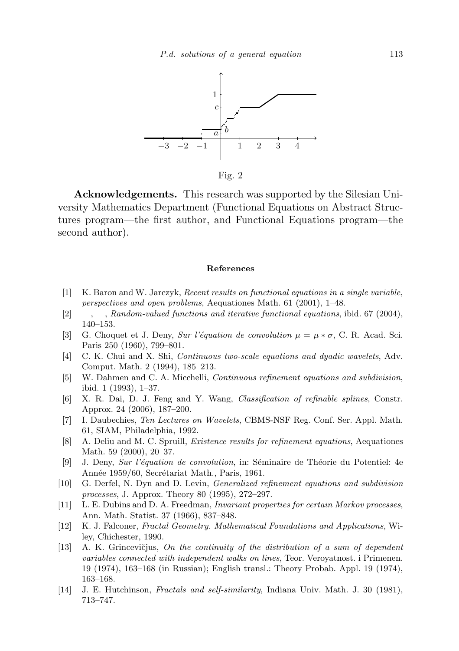

Fig. 2

Acknowledgements. This research was supported by the Silesian University Mathematics Department (Functional Equations on Abstract Structures program—the first author, and Functional Equations program—the second author).

## References

- [1] K. Baron and W. Jarczyk, Recent results on functional equations in a single variable, perspectives and open problems, Aequationes Math. 61 (2001), 1–48.
- $[2] \quad -,-$ , Random-valued functions and iterative functional equations, ibid. 67 (2004), 140–153.
- [3] G. Choquet et J. Deny, Sur l'équation de convolution  $\mu = \mu * \sigma$ , C. R. Acad. Sci. Paris 250 (1960), 799–801.
- [4] C. K. Chui and X. Shi, Continuous two-scale equations and dyadic wavelets, Adv. Comput. Math. 2 (1994), 185–213.
- [5] W. Dahmen and C. A. Micchelli, Continuous refinement equations and subdivision, ibid. 1 (1993), 1–37.
- [6] X. R. Dai, D. J. Feng and Y. Wang, Classification of refinable splines, Constr. Approx. 24 (2006), 187–200.
- [7] I. Daubechies, Ten Lectures on Wavelets, CBMS-NSF Reg. Conf. Ser. Appl. Math. 61, SIAM, Philadelphia, 1992.
- [8] A. Deliu and M. C. Spruill, Existence results for refinement equations, Aequationes Math. 59 (2000), 20–37.
- [9] J. Deny, Sur l'équation de convolution, in: Séminaire de Théorie du Potentiel: 4e Année 1959/60, Secrétariat Math., Paris, 1961.
- [10] G. Derfel, N. Dyn and D. Levin, Generalized refinement equations and subdivision processes, J. Approx. Theory 80 (1995), 272–297.
- [11] L. E. Dubins and D. A. Freedman, Invariant properties for certain Markov processes, Ann. Math. Statist. 37 (1966), 837–848.
- [12] K. J. Falconer, Fractal Geometry. Mathematical Foundations and Applications, Wiley, Chichester, 1990.
- $[13]$  A. K. Grincevičjus, On the continuity of the distribution of a sum of dependent variables connected with independent walks on lines, Teor. Veroyatnost. i Primenen. 19 (1974), 163–168 (in Russian); English transl.: Theory Probab. Appl. 19 (1974), 163–168.
- [14] J. E. Hutchinson, Fractals and self-similarity, Indiana Univ. Math. J. 30 (1981), 713–747.